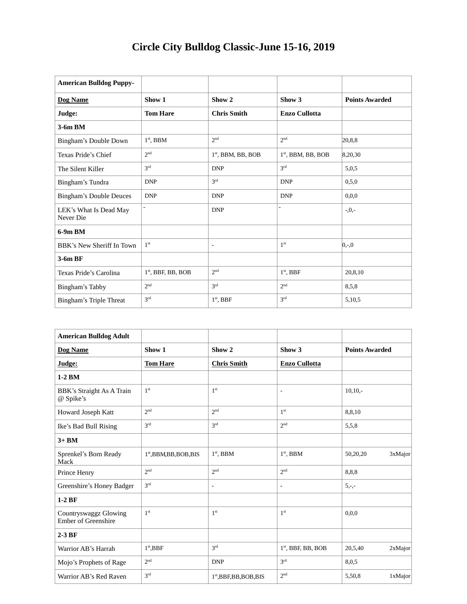| <b>American Bulldog Puppy-</b>      |                      |                          |                      |                       |
|-------------------------------------|----------------------|--------------------------|----------------------|-----------------------|
| Dog Name                            | Show 1               | Show <sub>2</sub>        | Show 3               | <b>Points Awarded</b> |
| Judge:                              | <b>Tom Hare</b>      | <b>Chris Smith</b>       | <b>Enzo Cullotta</b> |                       |
| 3-6m BM                             |                      |                          |                      |                       |
| Bingham's Double Down               | $1st$ , BBM          | 2 <sub>nd</sub>          | 2 <sub>nd</sub>      | 20.8.8                |
| Texas Pride's Chief                 | 2 <sup>nd</sup>      | $1st$ , BBM, BB, BOB     | $1st$ , BBM, BB, BOB | 8,20,30               |
| The Silent Killer                   | 3 <sup>rd</sup>      | <b>DNP</b>               | 2rd                  | 5,0,5                 |
| Bingham's Tundra                    | <b>DNP</b>           | 3 <sup>rd</sup>          | <b>DNP</b>           | 0.5.0                 |
| <b>Bingham's Double Deuces</b>      | <b>DNP</b>           | <b>DNP</b>               | <b>DNP</b>           | 0.0.0                 |
| LEK's What Is Dead May<br>Never Die |                      | <b>DNP</b>               |                      | $-0, -$               |
| $6-9m$ BM                           |                      |                          |                      |                       |
| BBK's New Sheriff In Town           | 1 <sup>st</sup>      | $\overline{\phantom{a}}$ | 1 <sup>st</sup>      | $ 0,-0 $              |
| 3-6m BF                             |                      |                          |                      |                       |
| Texas Pride's Carolina              | $1st$ , BBF, BB, BOB | 2 <sub>nd</sub>          | $1st$ , BBF          | 20,8,10               |
| Bingham's Tabby                     | 2 <sup>nd</sup>      | 3 <sup>rd</sup>          | 2 <sup>nd</sup>      | 8,5,8                 |
| Bingham's Triple Threat             | 3 <sup>rd</sup>      | $1st$ , BBF              | 3 <sup>rd</sup>      | 5,10,5                |

| <b>American Bulldog Adult</b>                       |                           |                           |                          |                       |
|-----------------------------------------------------|---------------------------|---------------------------|--------------------------|-----------------------|
| Dog Name                                            | Show 1                    | Show <sub>2</sub>         | Show 3                   | <b>Points Awarded</b> |
| Judge:                                              | <b>Tom Hare</b>           | <b>Chris Smith</b>        | <b>Enzo Cullotta</b>     |                       |
| 1-2 BM                                              |                           |                           |                          |                       |
| BBK's Straight As A Train<br>@ Spike's              | 1 <sup>st</sup>           | 1 <sup>st</sup>           | $\overline{\phantom{a}}$ | $10,10$ .             |
| Howard Joseph Katt                                  | 2 <sub>nd</sub>           | 2 <sub>nd</sub>           | 1 <sup>st</sup>          | 8,8,10                |
| Ike's Bad Bull Rising                               | 3 <sup>rd</sup>           | 3 <sup>rd</sup>           | 2 <sub>nd</sub>          | 5,5,8                 |
| $3+$ BM                                             |                           |                           |                          |                       |
| Sprenkel's Born Ready<br>Mack                       | $1st$ , BBM, BB, BOB, BIS | $1st$ , BBM               | $1st$ , BBM              | 50,20,20<br>3xMajor   |
| Prince Henry                                        | 2 <sup>nd</sup>           | 2 <sub>nd</sub>           | 2 <sub>nd</sub>          | 8,8,8                 |
| Greenshire's Honey Badger                           | 3rd                       | $\overline{\phantom{a}}$  | $\overline{\phantom{a}}$ | $5, -,-$              |
| $1-2BF$                                             |                           |                           |                          |                       |
| Countryswaggz Glowing<br><b>Ember of Greenshire</b> | 1 <sup>st</sup>           | 1 <sup>st</sup>           | 1 <sup>st</sup>          | 0.0.0                 |
| $2-3BF$                                             |                           |                           |                          |                       |
| Warrior AB's Harrah                                 | $1st$ , BBF               | 3 <sup>rd</sup>           | $1st$ , BBF, BB, BOB     | 20,5,40<br>2xMajor    |
| Mojo's Prophets of Rage                             | 2 <sub>nd</sub>           | <b>DNP</b>                | 3 <sup>rd</sup>          | 8,0,5                 |
| Warrior AB's Red Raven                              | 3 <sup>rd</sup>           | $1st$ , BBF, BB, BOB, BIS | 2 <sub>nd</sub>          | 5,50,8<br>1xMajor     |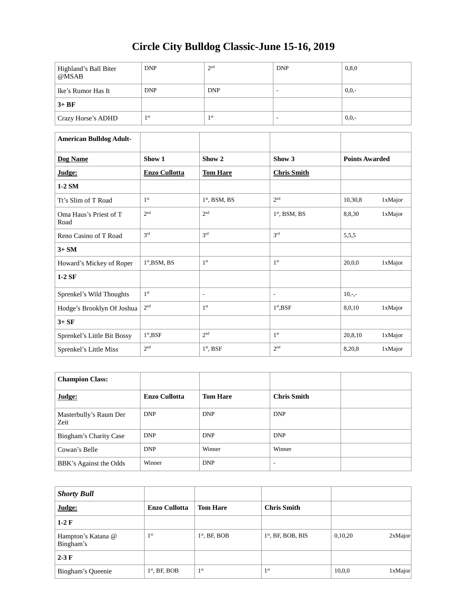| Highland's Ball Biter<br>@MSAB | <b>DNP</b>      | 2 <sup>nd</sup> | <b>DNP</b> | 0, 8, 0 |
|--------------------------------|-----------------|-----------------|------------|---------|
| Ike's Rumor Has It             | <b>DNP</b>      | <b>DNP</b>      |            | $0,0,-$ |
| $3+BF$                         |                 |                 |            |         |
| Crazy Horse's ADHD             | 1 <sub>st</sub> | 1 <sup>st</sup> |            | $0,0,-$ |

| <b>American Bulldog Adult-</b> |                      |                          |                          |                       |         |
|--------------------------------|----------------------|--------------------------|--------------------------|-----------------------|---------|
| Dog Name                       | Show 1               | Show <sub>2</sub>        | Show 3                   | <b>Points Awarded</b> |         |
| Judge:                         | <b>Enzo Cullotta</b> | <b>Tom Hare</b>          | <b>Chris Smith</b>       |                       |         |
| $1-2$ SM                       |                      |                          |                          |                       |         |
| Tt's Slim of T Road            | 1 <sup>st</sup>      | $1st$ , BSM, BS          | 2 <sup>nd</sup>          | 10,30,8               | 1xMajor |
| Oma Haus's Priest of T<br>Road | 2 <sup>nd</sup>      | 2 <sup>nd</sup>          | $1st$ , BSM, BS          | 8,8,30                | 1xMajor |
| Reno Casino of T Road          | 2rd                  | 3rd                      | 3 <sup>rd</sup>          | 5,5,5                 |         |
| $3+SM$                         |                      |                          |                          |                       |         |
| Howard's Mickey of Roper       | $1st$ , BSM, BS      | 1 <sup>st</sup>          | 1 <sup>st</sup>          | 20,0,0                | 1xMajor |
| $1-2$ SF                       |                      |                          |                          |                       |         |
| Sprenkel's Wild Thoughts       | 1 <sup>st</sup>      | $\overline{\phantom{a}}$ | $\overline{\phantom{a}}$ | $10,-,-$              |         |
| Hodge's Brooklyn Of Joshua     | $2^{\rm nd}$         | 1 <sup>st</sup>          | $1st$ , BSF              | 8,0,10                | 1xMajor |
| $3+SF$                         |                      |                          |                          |                       |         |
| Sprenkel's Little Bit Bossy    | $1st$ , BSF          | 2 <sub>nd</sub>          | 1 <sup>st</sup>          | 20,8,10               | 1xMajor |
| Sprenkel's Little Miss         | 2 <sup>nd</sup>      | $1st$ , BSF              | 2 <sub>nd</sub>          | 8,20,8                | 1xMajor |

| <b>Champion Class:</b>         |                      |                 |                    |  |
|--------------------------------|----------------------|-----------------|--------------------|--|
| Judge:                         | <b>Enzo Cullotta</b> | <b>Tom Hare</b> | <b>Chris Smith</b> |  |
| Masterbully's Raum Der<br>Zeit | <b>DNP</b>           | <b>DNP</b>      | <b>DNP</b>         |  |
| Bingham's Charity Case         | <b>DNP</b>           | <b>DNP</b>      | <b>DNP</b>         |  |
| Cowan's Belle                  | <b>DNP</b>           | Winner          | Winner             |  |
| BBK's Against the Odds         | Winner               | <b>DNP</b>      |                    |  |

| <b>Shorty Bull</b>              |                      |                 |                      |         |         |
|---------------------------------|----------------------|-----------------|----------------------|---------|---------|
| Judge:                          | <b>Enzo Cullotta</b> | <b>Tom Hare</b> | <b>Chris Smith</b>   |         |         |
| $1-2 \mathrm{F}$                |                      |                 |                      |         |         |
| Hampton's Katana @<br>Bingham's | 1 <sup>st</sup>      | $1st$ , BF, BOB | $1st$ , BF, BOB, BIS | 0,10,20 | 2xMajor |
| $2-3F$                          |                      |                 |                      |         |         |
| Bingham's Queenie               | $1st$ , BF, BOB      | 1 <sup>st</sup> | 1 <sup>st</sup>      | 10,0,0  | 1xMajor |